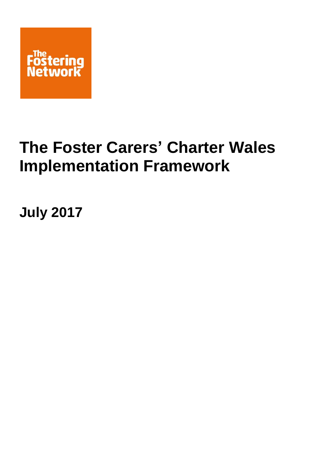

# **The Foster Carers' Charter Wales Implementation Framework**

**July 2017**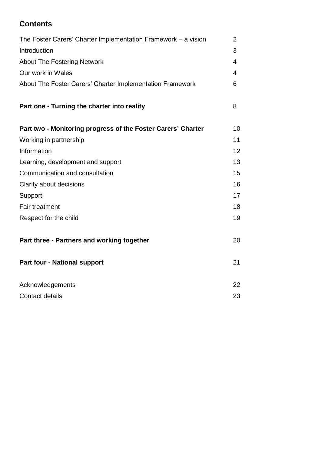# **Contents**

| The Foster Carers' Charter Implementation Framework – a vision | $\overline{2}$ |
|----------------------------------------------------------------|----------------|
| Introduction                                                   | 3              |
| <b>About The Fostering Network</b>                             | 4              |
| Our work in Wales                                              | 4              |
| About The Foster Carers' Charter Implementation Framework      | 6              |
| Part one - Turning the charter into reality                    | 8              |
| Part two - Monitoring progress of the Foster Carers' Charter   | 10             |
| Working in partnership                                         | 11             |
| Information                                                    | 12             |
| Learning, development and support                              | 13             |
| Communication and consultation                                 | 15             |
| Clarity about decisions                                        | 16             |
| Support                                                        | 17             |
| <b>Fair treatment</b>                                          | 18             |
| Respect for the child                                          | 19             |
| Part three - Partners and working together                     | 20             |
| <b>Part four - National support</b>                            | 21             |
| Acknowledgements                                               | 22             |
| Contact details                                                | 23             |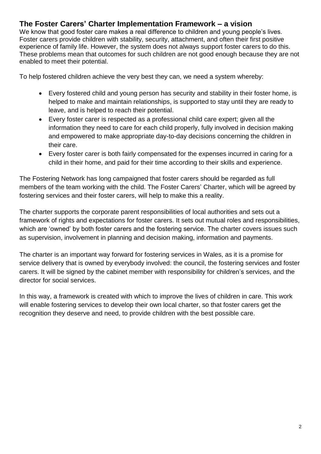# **The Foster Carers' Charter Implementation Framework – a vision**

We know that good foster care makes a real difference to children and young people's lives. Foster carers provide children with stability, security, attachment, and often their first positive experience of family life. However, the system does not always support foster carers to do this. These problems mean that outcomes for such children are not good enough because they are not enabled to meet their potential.

To help fostered children achieve the very best they can, we need a system whereby:

- Every fostered child and young person has security and stability in their foster home, is helped to make and maintain relationships, is supported to stay until they are ready to leave, and is helped to reach their potential.
- Every foster carer is respected as a professional child care expert; given all the information they need to care for each child properly, fully involved in decision making and empowered to make appropriate day-to-day decisions concerning the children in their care.
- Every foster carer is both fairly compensated for the expenses incurred in caring for a child in their home, and paid for their time according to their skills and experience.

The Fostering Network has long campaigned that foster carers should be regarded as full members of the team working with the child. The Foster Carers' Charter, which will be agreed by fostering services and their foster carers, will help to make this a reality.

The charter supports the corporate parent responsibilities of local authorities and sets out a framework of rights and expectations for foster carers. It sets out mutual roles and responsibilities, which are 'owned' by both foster carers and the fostering service. The charter covers issues such as supervision, involvement in planning and decision making, information and payments.

The charter is an important way forward for fostering services in Wales, as it is a promise for service delivery that is owned by everybody involved: the council, the fostering services and foster carers. It will be signed by the cabinet member with responsibility for children's services, and the director for social services.

In this way, a framework is created with which to improve the lives of children in care. This work will enable fostering services to develop their own local charter, so that foster carers get the recognition they deserve and need, to provide children with the best possible care.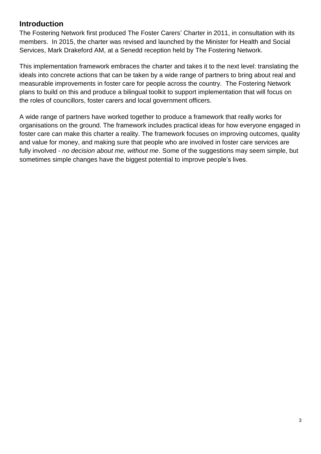## **Introduction**

The Fostering Network first produced The Foster Carers' Charter in 2011, in consultation with its members. In 2015, the charter was revised and launched by the Minister for Health and Social Services, Mark Drakeford AM, at a Senedd reception held by The Fostering Network.

This implementation framework embraces the charter and takes it to the next level: translating the ideals into concrete actions that can be taken by a wide range of partners to bring about real and measurable improvements in foster care for people across the country. The Fostering Network plans to build on this and produce a bilingual toolkit to support implementation that will focus on the roles of councillors, foster carers and local government officers.

A wide range of partners have worked together to produce a framework that really works for organisations on the ground. The framework includes practical ideas for how everyone engaged in foster care can make this charter a reality. The framework focuses on improving outcomes, quality and value for money, and making sure that people who are involved in foster care services are fully involved - *no decision about me, without me*. Some of the suggestions may seem simple, but sometimes simple changes have the biggest potential to improve people's lives.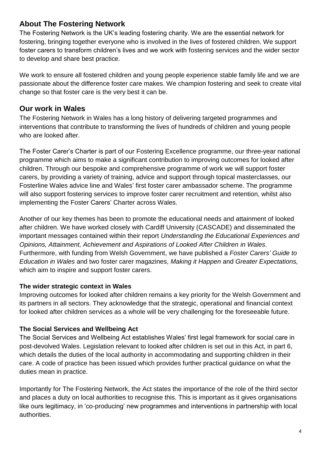# **About The Fostering Network**

The Fostering Network is the UK's leading fostering charity. We are the essential network for fostering, bringing together everyone who is involved in the lives of fostered children. We support foster carers to transform children's lives and we work with fostering services and the wider sector to develop and share best practice.

We work to ensure all fostered children and young people experience stable family life and we are passionate about the difference foster care makes. We champion fostering and seek to create vital change so that foster care is the very best it can be.

## **Our work in Wales**

The Fostering Network in Wales has a long history of delivering targeted programmes and interventions that contribute to transforming the lives of hundreds of children and young people who are looked after.

The Foster Carer's Charter is part of our Fostering Excellence programme, our three-year national programme which aims to make a significant contribution to improving outcomes for looked after children. Through our bespoke and comprehensive programme of work we will support foster carers, by providing a variety of training, advice and support through topical masterclasses, our Fosterline Wales advice line and Wales' first foster carer ambassador scheme. The programme will also support fostering services to improve foster carer recruitment and retention, whilst also implementing the Foster Carers' Charter across Wales.

Another of our key themes has been to promote the educational needs and attainment of looked after children. We have worked closely with Cardiff University (CASCADE) and disseminated the important messages contained within their report *Understanding the Educational Experiences and Opinions, Attainment, Achievement and Aspirations of Looked After Children in Wales*. Furthermore, with funding from Welsh Government, we have published a *Foster Carers' Guide to Education in Wales* and two foster carer magazines, *Making it Happen* and *Greater Expectations,* which aim to inspire and support foster carers.

## **The wider strategic context in Wales**

Improving outcomes for looked after children remains a key priority for the Welsh Government and its partners in all sectors. They acknowledge that the strategic, operational and financial context for looked after children services as a whole will be very challenging for the foreseeable future.

## **The Social Services and Wellbeing Act**

The Social Services and Wellbeing Act establishes Wales' first legal framework for social care in post-devolved Wales. Legislation relevant to looked after children is set out in this Act, in part 6, which details the duties of the local authority in accommodating and supporting children in their care. A code of practice has been issued which provides further practical guidance on what the duties mean in practice.

Importantly for The Fostering Network, the Act states the importance of the role of the third sector and places a duty on local authorities to recognise this. This is important as it gives organisations like ours legitimacy, in 'co-producing' new programmes and interventions in partnership with local authorities.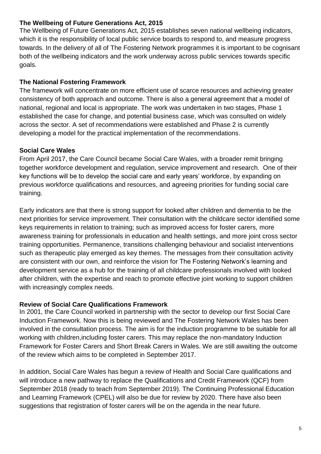#### **The Wellbeing of Future Generations Act, 2015**

The Wellbeing of Future Generations Act, 2015 establishes seven national wellbeing indicators, which it is the responsibility of local public service boards to respond to, and measure progress towards. In the delivery of all of The Fostering Network programmes it is important to be cognisant both of the wellbeing indicators and the work underway across public services towards specific goals.

## **The National Fostering Framework**

The framework will concentrate on more efficient use of scarce resources and achieving greater consistency of both approach and outcome. There is also a general agreement that a model of national, regional and local is appropriate. The work was undertaken in two stages, Phase 1 established the case for change, and potential business case, which was consulted on widely across the sector. A set of recommendations were established and Phase 2 is currently developing a model for the practical implementation of the recommendations.

#### **Social Care Wales**

From April 2017, the Care Council became Social Care Wales, with a broader remit bringing together workforce development and regulation, service improvement and research. One of their key functions will be to develop the social care and early years' workforce, by expanding on previous workforce qualifications and resources, and agreeing priorities for funding social care training.

Early indicators are that there is strong support for looked after children and dementia to be the next priorities for service improvement. Their consultation with the childcare sector identified some keys requirements in relation to training; such as improved access for foster carers, more awareness training for professionals in education and health settings, and more joint cross sector training opportunities. Permanence, transitions challenging behaviour and socialist interventions such as therapeutic play emerged as key themes. The messages from their consultation activity are consistent with our own, and reinforce the vision for The Fostering Network's learning and development service as a hub for the training of all childcare professionals involved with looked after children, with the expertise and reach to promote effective joint working to support children with increasingly complex needs.

#### **Review of Social Care Qualifications Framework**

In 2001, the Care Council worked in partnership with the sector to develop our first Social Care Induction Framework. Now this is being reviewed and The Fostering Network Wales has been involved in the consultation process. The aim is for the induction programme to be suitable for all working with children,including foster carers. This may replace the non-mandatory Induction Framework for Foster Carers and Short Break Carers in Wales. We are still awaiting the outcome of the review which aims to be completed in September 2017.

In addition, Social Care Wales has begun a review of Health and Social Care qualifications and will introduce a new pathway to replace the Qualifications and Credit Framework (QCF) from September 2018 (ready to teach from September 2019). The Continuing Professional Education and Learning Framework (CPEL) will also be due for review by 2020. There have also been suggestions that registration of foster carers will be on the agenda in the near future.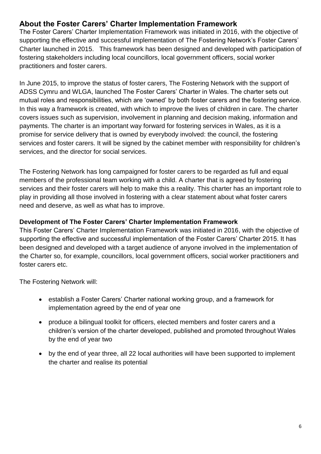# **About the Foster Carers' Charter Implementation Framework**

The Foster Carers' Charter Implementation Framework was initiated in 2016, with the objective of supporting the effective and successful implementation of The Fostering Network's Foster Carers' Charter launched in 2015. This framework has been designed and developed with participation of fostering stakeholders including local councillors, local government officers, social worker practitioners and foster carers.

In June 2015, to improve the status of foster carers, The Fostering Network with the support of ADSS Cymru and WLGA, launched The Foster Carers' Charter in Wales. The charter sets out mutual roles and responsibilities, which are 'owned' by both foster carers and the fostering service. In this way a framework is created, with which to improve the lives of children in care. The charter covers issues such as supervision, involvement in planning and decision making, information and payments. The charter is an important way forward for fostering services in Wales, as it is a promise for service delivery that is owned by everybody involved: the council, the fostering services and foster carers. It will be signed by the cabinet member with responsibility for children's services, and the director for social services.

The Fostering Network has long campaigned for foster carers to be regarded as full and equal members of the professional team working with a child. A charter that is agreed by fostering services and their foster carers will help to make this a reality. This charter has an important role to play in providing all those involved in fostering with a clear statement about what foster carers need and deserve, as well as what has to improve.

## **Development of The Foster Carers' Charter Implementation Framework**

This Foster Carers' Charter Implementation Framework was initiated in 2016, with the objective of supporting the effective and successful implementation of the Foster Carers' Charter 2015. It has been designed and developed with a target audience of anyone involved in the implementation of the Charter so, for example, councillors, local government officers, social worker practitioners and foster carers etc.

The Fostering Network will:

- establish a Foster Carers' Charter national working group, and a framework for implementation agreed by the end of year one
- produce a bilingual toolkit for officers, elected members and foster carers and a children's version of the charter developed, published and promoted throughout Wales by the end of year two
- by the end of year three, all 22 local authorities will have been supported to implement the charter and realise its potential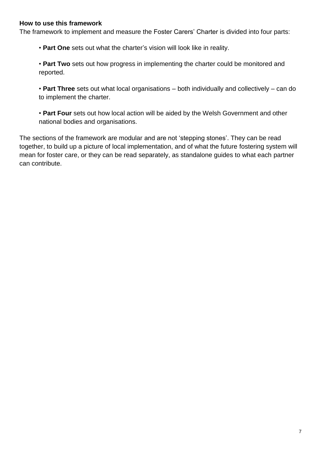#### **How to use this framework**

The framework to implement and measure the Foster Carers' Charter is divided into four parts:

• **Part One** sets out what the charter's vision will look like in reality.

• **Part Two** sets out how progress in implementing the charter could be monitored and reported.

• **Part Three** sets out what local organisations – both individually and collectively – can do to implement the charter.

• **Part Four** sets out how local action will be aided by the Welsh Government and other national bodies and organisations.

The sections of the framework are modular and are not 'stepping stones'. They can be read together, to build up a picture of local implementation, and of what the future fostering system will mean for foster care, or they can be read separately, as standalone guides to what each partner can contribute.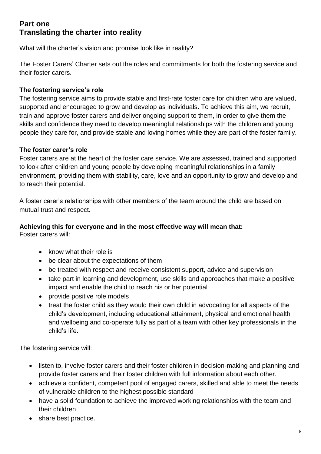# **Part one Translating the charter into reality**

What will the charter's vision and promise look like in reality?

The Foster Carers' Charter sets out the roles and commitments for both the fostering service and their foster carers.

## **The fostering service's role**

The fostering service aims to provide stable and first-rate foster care for children who are valued, supported and encouraged to grow and develop as individuals. To achieve this aim, we recruit, train and approve foster carers and deliver ongoing support to them, in order to give them the skills and confidence they need to develop meaningful relationships with the children and young people they care for, and provide stable and loving homes while they are part of the foster family.

## **The foster carer's role**

Foster carers are at the heart of the foster care service. We are assessed, trained and supported to look after children and young people by developing meaningful relationships in a family environment, providing them with stability, care, love and an opportunity to grow and develop and to reach their potential.

A foster carer's relationships with other members of the team around the child are based on mutual trust and respect.

## **Achieving this for everyone and in the most effective way will mean that:**

Foster carers will:

- know what their role is
- be clear about the expectations of them
- be treated with respect and receive consistent support, advice and supervision
- take part in learning and development, use skills and approaches that make a positive impact and enable the child to reach his or her potential
- provide positive role models
- treat the foster child as they would their own child in advocating for all aspects of the child's development, including educational attainment, physical and emotional health and wellbeing and co-operate fully as part of a team with other key professionals in the child's life.

The fostering service will:

- listen to, involve foster carers and their foster children in decision-making and planning and provide foster carers and their foster children with full information about each other.
- achieve a confident, competent pool of engaged carers, skilled and able to meet the needs of vulnerable children to the highest possible standard
- have a solid foundation to achieve the improved working relationships with the team and their children
- share best practice.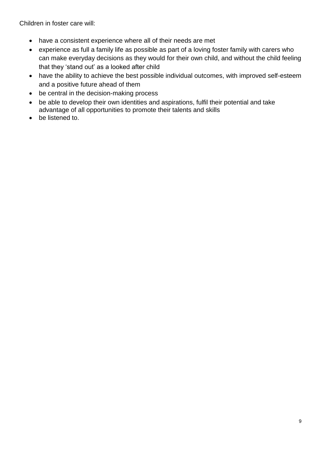Children in foster care will:

- have a consistent experience where all of their needs are met
- experience as full a family life as possible as part of a loving foster family with carers who can make everyday decisions as they would for their own child, and without the child feeling that they 'stand out' as a looked after child
- have the ability to achieve the best possible individual outcomes, with improved self-esteem and a positive future ahead of them
- be central in the decision-making process
- be able to develop their own identities and aspirations, fulfil their potential and take advantage of all opportunities to promote their talents and skills
- be listened to.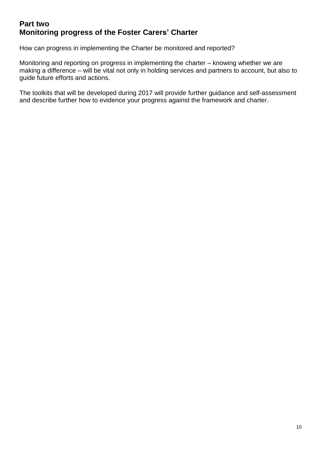# **Part two Monitoring progress of the Foster Carers' Charter**

How can progress in implementing the Charter be monitored and reported?

Monitoring and reporting on progress in implementing the charter – knowing whether we are making a difference – will be vital not only in holding services and partners to account, but also to guide future efforts and actions.

The toolkits that will be developed during 2017 will provide further guidance and self-assessment and describe further how to evidence your progress against the framework and charter.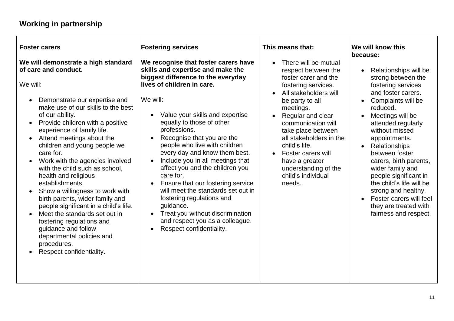# **Working in partnership**

| <b>Foster carers</b><br>We will demonstrate a high standard<br>of care and conduct.                                                                                                                                                                                                                                                                                                                                                                                                                                                                                                                                                                                                            | <b>Fostering services</b><br>We recognise that foster carers have<br>skills and expertise and make the<br>biggest difference to the everyday                                                                                                                                                                                                                                                                                                                                                                                                                 | This means that:<br>There will be mutual<br>respect between the<br>foster carer and the                                                                                                                                                                                                   | We will know this<br>because:<br>Relationships will be<br>$\bullet$<br>strong between the                                                                                                                                                                                                                                                                                                                                                             |
|------------------------------------------------------------------------------------------------------------------------------------------------------------------------------------------------------------------------------------------------------------------------------------------------------------------------------------------------------------------------------------------------------------------------------------------------------------------------------------------------------------------------------------------------------------------------------------------------------------------------------------------------------------------------------------------------|--------------------------------------------------------------------------------------------------------------------------------------------------------------------------------------------------------------------------------------------------------------------------------------------------------------------------------------------------------------------------------------------------------------------------------------------------------------------------------------------------------------------------------------------------------------|-------------------------------------------------------------------------------------------------------------------------------------------------------------------------------------------------------------------------------------------------------------------------------------------|-------------------------------------------------------------------------------------------------------------------------------------------------------------------------------------------------------------------------------------------------------------------------------------------------------------------------------------------------------------------------------------------------------------------------------------------------------|
| We will:<br>Demonstrate our expertise and<br>make use of our skills to the best<br>of our ability.<br>Provide children with a positive<br>$\bullet$<br>experience of family life.<br>Attend meetings about the<br>$\bullet$<br>children and young people we<br>care for.<br>Work with the agencies involved<br>$\bullet$<br>with the child such as school,<br>health and religious<br>establishments.<br>Show a willingness to work with<br>$\bullet$<br>birth parents, wider family and<br>people significant in a child's life.<br>Meet the standards set out in<br>fostering regulations and<br>guidance and follow<br>departmental policies and<br>procedures.<br>Respect confidentiality. | lives of children in care.<br>We will:<br>Value your skills and expertise<br>equally to those of other<br>professions.<br>Recognise that you are the<br>people who live with children<br>every day and know them best.<br>Include you in all meetings that<br>$\bullet$<br>affect you and the children you<br>care for.<br>Ensure that our fostering service<br>$\bullet$<br>will meet the standards set out in<br>fostering regulations and<br>guidance.<br>Treat you without discrimination<br>and respect you as a colleague.<br>Respect confidentiality. | fostering services.<br>All stakeholders will<br>be party to all<br>meetings.<br>Regular and clear<br>communication will<br>take place between<br>all stakeholders in the<br>child's life.<br>Foster carers will<br>have a greater<br>understanding of the<br>child's individual<br>needs. | fostering services<br>and foster carers.<br>Complaints will be<br>$\bullet$<br>reduced.<br>Meetings will be<br>$\bullet$<br>attended regularly<br>without missed<br>appointments.<br>Relationships<br>$\bullet$<br>between foster<br>carers, birth parents,<br>wider family and<br>people significant in<br>the child's life will be<br>strong and healthy.<br>Foster carers will feel<br>$\bullet$<br>they are treated with<br>fairness and respect. |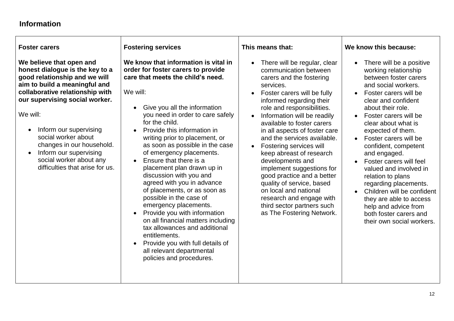## **Information**

#### **Foster carers**

**We believe that open and honest dialogue is the key to a good relationship and we will aim to build a meaningful and collaborative relationship with our supervising social worker.**

We will:

- Inform our supervising social worker about changes in our household.
- Inform our supervising social worker about any difficulties that arise for us.

#### **Fostering services**

**We know that information is vital in order for foster carers to provide care that meets the child's need.**

We will:

- Give you all the information you need in order to care safely for the child.
- Provide this information in writing prior to placement, or as soon as possible in the case of emergency placements.
- Ensure that there is a placement plan drawn up in discussion with you and agreed with you in advance of placements, or as soon as possible in the case of emergency placements.
- Provide you with information on all financial matters including tax allowances and additional entitlements.
- Provide you with full details of all relevant departmental policies and procedures.

#### **This means that:**

- There will be regular, clear communication between carers and the fostering services.
- Foster carers will be fully informed regarding their role and responsibilities.
- Information will be readily available to foster carers in all aspects of foster care and the services available.
- Fostering services will keep abreast of research developments and implement suggestions for good practice and a better quality of service, based on local and national research and engage with third sector partners such as The Fostering Network.

## **We know this because:**

- There will be a positive working relationship between foster carers and social workers.
- Foster carers will be clear and confident about their role.
- Foster carers will be clear about what is expected of them.
- Foster carers will be confident, competent and engaged.
- Foster carers will feel valued and involved in relation to plans regarding placements.
- Children will be confident they are able to access help and advice from both foster carers and their own social workers.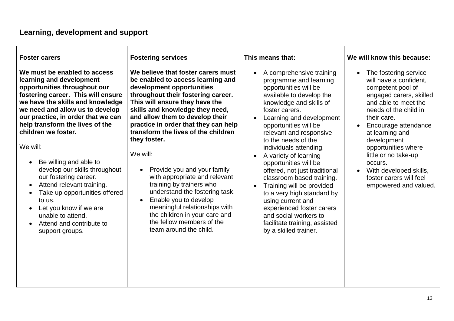| <b>Foster carers</b>                                                                                                                                                                                                                                                                                                                                                                                                                                                                                                                                                                     | <b>Fostering services</b>                                                                                                                                                                                                                                                                                                                                                                                                                                                                                                                                                                                                                                               | This means that:                                                                                                                                                                                                                                                                                                                                                                                                                                                                                                                                                                                                                | We will know this because:                                                                                                                                                                                                                                                                                                                                        |
|------------------------------------------------------------------------------------------------------------------------------------------------------------------------------------------------------------------------------------------------------------------------------------------------------------------------------------------------------------------------------------------------------------------------------------------------------------------------------------------------------------------------------------------------------------------------------------------|-------------------------------------------------------------------------------------------------------------------------------------------------------------------------------------------------------------------------------------------------------------------------------------------------------------------------------------------------------------------------------------------------------------------------------------------------------------------------------------------------------------------------------------------------------------------------------------------------------------------------------------------------------------------------|---------------------------------------------------------------------------------------------------------------------------------------------------------------------------------------------------------------------------------------------------------------------------------------------------------------------------------------------------------------------------------------------------------------------------------------------------------------------------------------------------------------------------------------------------------------------------------------------------------------------------------|-------------------------------------------------------------------------------------------------------------------------------------------------------------------------------------------------------------------------------------------------------------------------------------------------------------------------------------------------------------------|
| We must be enabled to access<br>learning and development<br>opportunities throughout our<br>fostering career. This will ensure<br>we have the skills and knowledge<br>we need and allow us to develop<br>our practice, in order that we can<br>help transform the lives of the<br>children we foster.<br>We will:<br>Be willing and able to<br>develop our skills throughout<br>our fostering career.<br>Attend relevant training.<br>$\bullet$<br>Take up opportunities offered<br>to us.<br>Let you know if we are<br>unable to attend.<br>Attend and contribute to<br>support groups. | We believe that foster carers must<br>be enabled to access learning and<br>development opportunities<br>throughout their fostering career.<br>This will ensure they have the<br>skills and knowledge they need,<br>and allow them to develop their<br>practice in order that they can help<br>transform the lives of the children<br>they foster.<br>We will:<br>Provide you and your family<br>$\bullet$<br>with appropriate and relevant<br>training by trainers who<br>understand the fostering task.<br>Enable you to develop<br>$\bullet$<br>meaningful relationships with<br>the children in your care and<br>the fellow members of the<br>team around the child. | A comprehensive training<br>$\bullet$<br>programme and learning<br>opportunities will be<br>available to develop the<br>knowledge and skills of<br>foster carers.<br>Learning and development<br>opportunities will be<br>relevant and responsive<br>to the needs of the<br>individuals attending.<br>A variety of learning<br>opportunities will be<br>offered, not just traditional<br>classroom based training.<br>Training will be provided<br>$\bullet$<br>to a very high standard by<br>using current and<br>experienced foster carers<br>and social workers to<br>facilitate training, assisted<br>by a skilled trainer. | The fostering service<br>will have a confident,<br>competent pool of<br>engaged carers, skilled<br>and able to meet the<br>needs of the child in<br>their care.<br>Encourage attendance<br>at learning and<br>development<br>opportunities where<br>little or no take-up<br>occurs.<br>With developed skills,<br>foster carers will feel<br>empowered and valued. |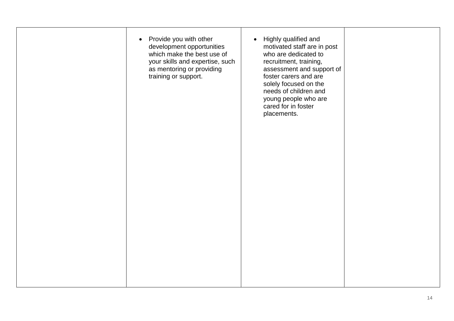|  | • Provide you with other<br>development opportunities<br>which make the best use of<br>your skills and expertise, such<br>as mentoring or providing<br>training or support. | Highly qualified and<br>$\bullet$<br>motivated staff are in post<br>who are dedicated to<br>recruitment, training,<br>assessment and support of<br>foster carers and are<br>solely focused on the<br>needs of children and<br>young people who are<br>cared for in foster<br>placements. |  |  |
|--|-----------------------------------------------------------------------------------------------------------------------------------------------------------------------------|------------------------------------------------------------------------------------------------------------------------------------------------------------------------------------------------------------------------------------------------------------------------------------------|--|--|
|--|-----------------------------------------------------------------------------------------------------------------------------------------------------------------------------|------------------------------------------------------------------------------------------------------------------------------------------------------------------------------------------------------------------------------------------------------------------------------------------|--|--|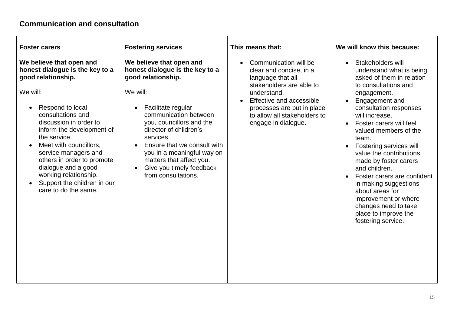# **Communication and consultation**

| <b>Foster carers</b>                                                                                                                                                                                                                                                                                                                                                                                 | <b>Fostering services</b>                                                                                                                                                                                                                                                                                                                                   | This means that:                                                                                                                                                                                                                               | We will know this because:                                                                                                                                                                                                                                                                                                                                                                                                                                                                                                         |
|------------------------------------------------------------------------------------------------------------------------------------------------------------------------------------------------------------------------------------------------------------------------------------------------------------------------------------------------------------------------------------------------------|-------------------------------------------------------------------------------------------------------------------------------------------------------------------------------------------------------------------------------------------------------------------------------------------------------------------------------------------------------------|------------------------------------------------------------------------------------------------------------------------------------------------------------------------------------------------------------------------------------------------|------------------------------------------------------------------------------------------------------------------------------------------------------------------------------------------------------------------------------------------------------------------------------------------------------------------------------------------------------------------------------------------------------------------------------------------------------------------------------------------------------------------------------------|
| We believe that open and<br>honest dialogue is the key to a<br>good relationship.<br>We will:<br>Respond to local<br>consultations and<br>discussion in order to<br>inform the development of<br>the service.<br>Meet with councillors,<br>service managers and<br>others in order to promote<br>dialogue and a good<br>working relationship.<br>Support the children in our<br>care to do the same. | We believe that open and<br>honest dialogue is the key to a<br>good relationship.<br>We will:<br>Facilitate regular<br>communication between<br>you, councillors and the<br>director of children's<br>services.<br>Ensure that we consult with<br>you in a meaningful way on<br>matters that affect you.<br>Give you timely feedback<br>from consultations. | Communication will be<br>clear and concise, in a<br>language that all<br>stakeholders are able to<br>understand.<br>Effective and accessible<br>$\bullet$<br>processes are put in place<br>to allow all stakeholders to<br>engage in dialogue. | Stakeholders will<br>$\bullet$<br>understand what is being<br>asked of them in relation<br>to consultations and<br>engagement.<br>Engagement and<br>consultation responses<br>will increase.<br>Foster carers will feel<br>valued members of the<br>team.<br>Fostering services will<br>value the contributions<br>made by foster carers<br>and children.<br>Foster carers are confident<br>in making suggestions<br>about areas for<br>improvement or where<br>changes need to take<br>place to improve the<br>fostering service. |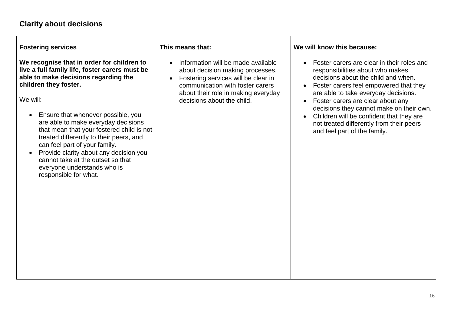**Fostering services**

**We recognise that in order for children to live a full family life, foster carers must be able to make decisions regarding the children they foster.**

We will:

- Ensure that whenever possible, you are able to make everyday decisions that mean that your fostered child is not treated differently to their peers, and can feel part of your family.
- Provide clarity about any decision you cannot take at the outset so that everyone understands who is responsible for what.

#### **This means that:**

- Information will be made available about decision making processes.
- Fostering services will be clear in communication with foster carers about their role in making everyday decisions about the child.

**We will know this because:**

- Foster carers are clear in their roles and responsibilities about who makes decisions about the child and when.
- Foster carers feel empowered that they are able to take everyday decisions.
- Foster carers are clear about any decisions they cannot make on their own.
- Children will be confident that they are not treated differently from their peers and feel part of the family.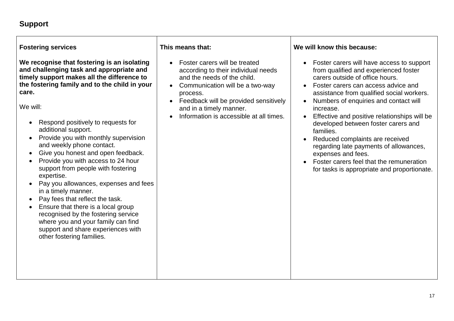## **Support**

**Fostering services We recognise that fostering is an isolating and challenging task and appropriate and timely support makes all the difference to the fostering family and to the child in your care.** We will: Respond positively to requests for additional support. • Provide you with monthly supervision and weekly phone contact. • Give you honest and open feedback. • Provide you with access to 24 hour support from people with fostering expertise. • Pay you allowances, expenses and fees in a timely manner. • Pay fees that reflect the task. • Ensure that there is a local group recognised by the fostering service where you and your family can find support and share experiences with other fostering families. **This means that:** Foster carers will be treated according to their individual needs and the needs of the child. • Communication will be a two-way process. • Feedback will be provided sensitively and in a timely manner. Information is accessible at all times. **We will know this because:** Foster carers will have access to support from qualified and experienced foster carers outside of office hours. • Foster carers can access advice and assistance from qualified social workers. • Numbers of enquiries and contact will increase. **Effective and positive relationships will be** developed between foster carers and families. Reduced complaints are received regarding late payments of allowances, expenses and fees. Foster carers feel that the remuneration for tasks is appropriate and proportionate.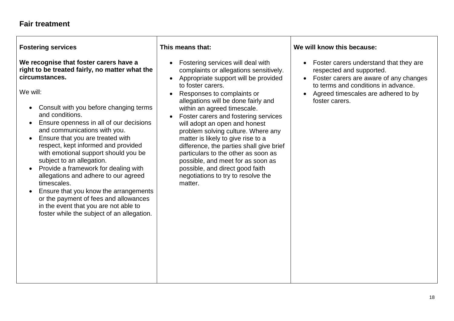#### **Fair treatment**

**Fostering services**

#### **We recognise that foster carers have a right to be treated fairly, no matter what the circumstances.**

We will:

- Consult with you before changing terms and conditions.
- Ensure openness in all of our decisions and communications with you.
- Ensure that you are treated with respect, kept informed and provided with emotional support should you be subject to an allegation.
- Provide a framework for dealing with allegations and adhere to our agreed timescales.
- Ensure that you know the arrangements or the payment of fees and allowances in the event that you are not able to foster while the subject of an allegation.

#### **This means that:**

- Fostering services will deal with complaints or allegations sensitively.
- Appropriate support will be provided to foster carers.
- Responses to complaints or allegations will be done fairly and within an agreed timescale.
- Foster carers and fostering services will adopt an open and honest problem solving culture. Where any matter is likely to give rise to a difference, the parties shall give brief particulars to the other as soon as possible, and meet for as soon as possible, and direct good faith negotiations to try to resolve the matter.

#### **We will know this because:**

- Foster carers understand that they are respected and supported.
- Foster carers are aware of any changes to terms and conditions in advance.
- Agreed timescales are adhered to by foster carers.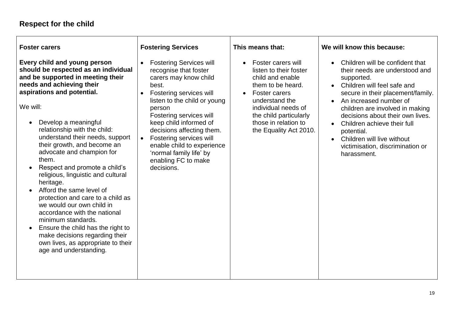# **Respect for the child**

| <b>Foster carers</b>                                                                                                                                                                                                                                                                                                                                                                                                                                                                                                                                                                                                                                                                                                                                      | <b>Fostering Services</b>                                                                                                                                                                                                                                                                                                                                                                           | This means that:                                                                                                                                                                                                                                             | We will know this because:                                                                                                                                                                                                                                                                                                                                                                        |
|-----------------------------------------------------------------------------------------------------------------------------------------------------------------------------------------------------------------------------------------------------------------------------------------------------------------------------------------------------------------------------------------------------------------------------------------------------------------------------------------------------------------------------------------------------------------------------------------------------------------------------------------------------------------------------------------------------------------------------------------------------------|-----------------------------------------------------------------------------------------------------------------------------------------------------------------------------------------------------------------------------------------------------------------------------------------------------------------------------------------------------------------------------------------------------|--------------------------------------------------------------------------------------------------------------------------------------------------------------------------------------------------------------------------------------------------------------|---------------------------------------------------------------------------------------------------------------------------------------------------------------------------------------------------------------------------------------------------------------------------------------------------------------------------------------------------------------------------------------------------|
| Every child and young person<br>should be respected as an individual<br>and be supported in meeting their<br>needs and achieving their<br>aspirations and potential.<br>We will:<br>Develop a meaningful<br>$\bullet$<br>relationship with the child:<br>understand their needs, support<br>their growth, and become an<br>advocate and champion for<br>them.<br>Respect and promote a child's<br>religious, linguistic and cultural<br>heritage.<br>Afford the same level of<br>protection and care to a child as<br>we would our own child in<br>accordance with the national<br>minimum standards.<br>Ensure the child has the right to<br>$\bullet$<br>make decisions regarding their<br>own lives, as appropriate to their<br>age and understanding. | <b>Fostering Services will</b><br>recognise that foster<br>carers may know child<br>best.<br>Fostering services will<br>$\bullet$<br>listen to the child or young<br>person<br>Fostering services will<br>keep child informed of<br>decisions affecting them.<br>Fostering services will<br>$\bullet$<br>enable child to experience<br>'normal family life' by<br>enabling FC to make<br>decisions. | Foster carers will<br>$\bullet$<br>listen to their foster<br>child and enable<br>them to be heard.<br><b>Foster carers</b><br>$\bullet$<br>understand the<br>individual needs of<br>the child particularly<br>those in relation to<br>the Equality Act 2010. | Children will be confident that<br>their needs are understood and<br>supported.<br>• Children will feel safe and<br>secure in their placement/family.<br>An increased number of<br>children are involved in making<br>decisions about their own lives.<br>Children achieve their full<br>potential.<br>Children will live without<br>$\bullet$<br>victimisation, discrimination or<br>harassment. |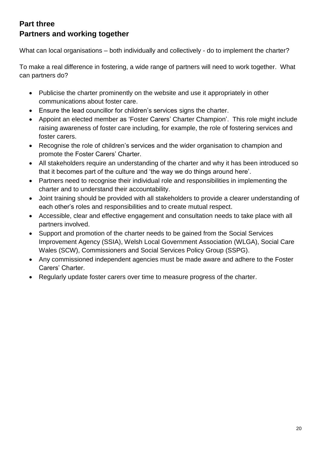# **Part three Partners and working together**

What can local organisations – both individually and collectively - do to implement the charter?

To make a real difference in fostering, a wide range of partners will need to work together. What can partners do?

- Publicise the charter prominently on the website and use it appropriately in other communications about foster care.
- Ensure the lead councillor for children's services signs the charter.
- Appoint an elected member as 'Foster Carers' Charter Champion'. This role might include raising awareness of foster care including, for example, the role of fostering services and foster carers.
- Recognise the role of children's services and the wider organisation to champion and promote the Foster Carers' Charter.
- All stakeholders require an understanding of the charter and why it has been introduced so that it becomes part of the culture and 'the way we do things around here'.
- Partners need to recognise their individual role and responsibilities in implementing the charter and to understand their accountability.
- Joint training should be provided with all stakeholders to provide a clearer understanding of each other's roles and responsibilities and to create mutual respect.
- Accessible, clear and effective engagement and consultation needs to take place with all partners involved.
- Support and promotion of the charter needs to be gained from the Social Services Improvement Agency (SSIA), Welsh Local Government Association (WLGA), Social Care Wales (SCW), Commissioners and Social Services Policy Group (SSPG).
- Any commissioned independent agencies must be made aware and adhere to the Foster Carers' Charter.
- Regularly update foster carers over time to measure progress of the charter.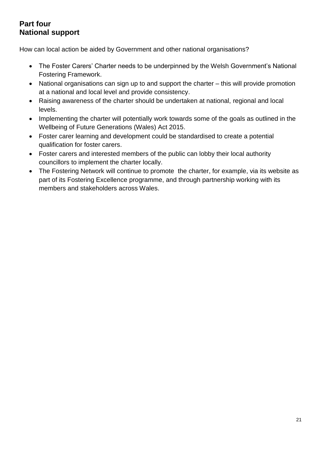# **Part four National support**

How can local action be aided by Government and other national organisations?

- The Foster Carers' Charter needs to be underpinned by the Welsh Government's National Fostering Framework.
- National organisations can sign up to and support the charter this will provide promotion at a national and local level and provide consistency.
- Raising awareness of the charter should be undertaken at national, regional and local levels.
- Implementing the charter will potentially work towards some of the goals as outlined in the Wellbeing of Future Generations (Wales) Act 2015.
- Foster carer learning and development could be standardised to create a potential qualification for foster carers.
- Foster carers and interested members of the public can lobby their local authority councillors to implement the charter locally.
- The Fostering Network will continue to promote the charter, for example, via its website as part of its Fostering Excellence programme, and through partnership working with its members and stakeholders across Wales.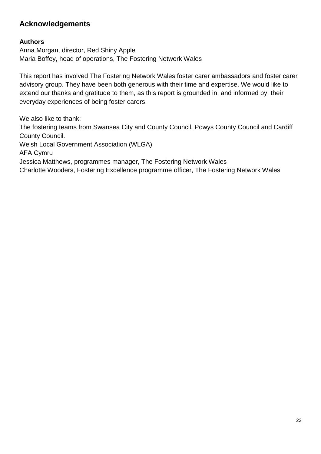# **Acknowledgements**

#### **Authors**

Anna Morgan, director, Red Shiny Apple Maria Boffey, head of operations, The Fostering Network Wales

This report has involved The Fostering Network Wales foster carer ambassadors and foster carer advisory group. They have been both generous with their time and expertise. We would like to extend our thanks and gratitude to them, as this report is grounded in, and informed by, their everyday experiences of being foster carers.

We also like to thank: The fostering teams from Swansea City and County Council, Powys County Council and Cardiff County Council. Welsh Local Government Association (WLGA) AFA Cymru Jessica Matthews, programmes manager, The Fostering Network Wales Charlotte Wooders, Fostering Excellence programme officer, The Fostering Network Wales